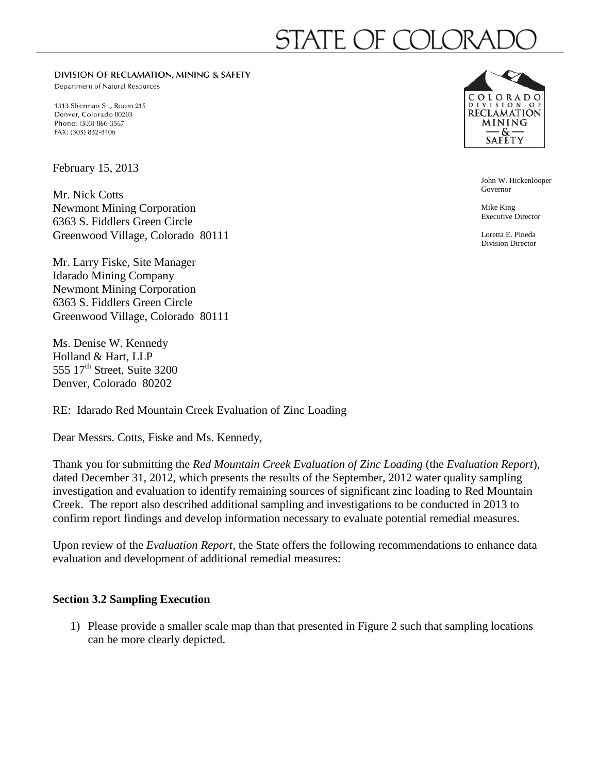# SIAI E OF COL

DIVISION OF RECLAMATION, MINING & SAFETY

Department of Natural Resources

1313 Sherman St., Room 215 Denver, Colorado 80203 Phone: (303) 866-3567 FAX: (303) 832-8106

February 15, 2013

Mr. Nick Cotts Newmont Mining Corporation 6363 S. Fiddlers Green Circle Greenwood Village, Colorado 80111

Mr. Larry Fiske, Site Manager Idarado Mining Company Newmont Mining Corporation 6363 S. Fiddlers Green Circle Greenwood Village, Colorado 80111

Ms. Denise W. Kennedy Holland & Hart, LLP 555  $17<sup>th</sup>$  Street, Suite 3200 Denver, Colorado 80202

RE: Idarado Red Mountain Creek Evaluation of Zinc Loading

Dear Messrs. Cotts, Fiske and Ms. Kennedy,

Thank you for submitting the *Red Mountain Creek Evaluation of Zinc Loading* (the *Evaluation Report*), dated December 31, 2012, which presents the results of the September, 2012 water quality sampling investigation and evaluation to identify remaining sources of significant zinc loading to Red Mountain Creek. The report also described additional sampling and investigations to be conducted in 2013 to confirm report findings and develop information necessary to evaluate potential remedial measures.

Upon review of the *Evaluation Report*, the State offers the following recommendations to enhance data evaluation and development of additional remedial measures:

## **Section 3.2 Sampling Execution**

1) Please provide a smaller scale map than that presented in Figure 2 such that sampling locations can be more clearly depicted.



John W. Hickenlooper Governor

Mike King Executive Director

Loretta E. Pineda Division Director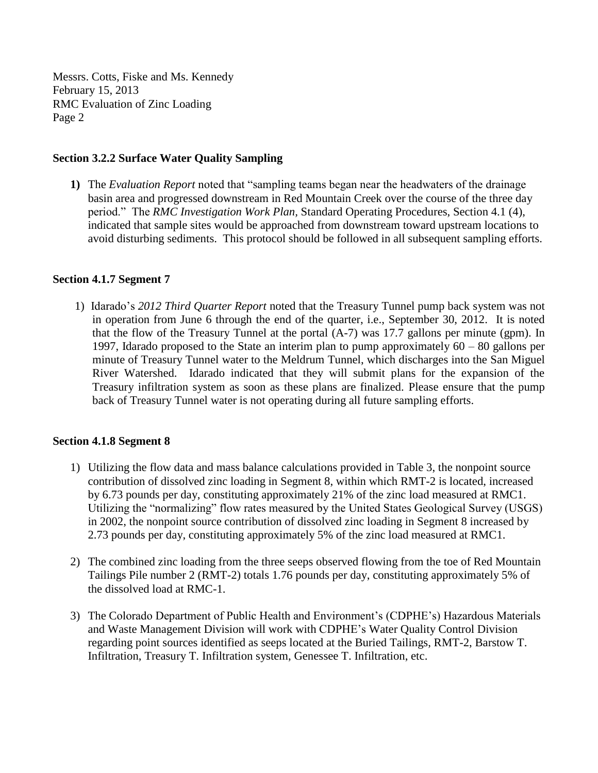## **Section 3.2.2 Surface Water Quality Sampling**

**1)** The *Evaluation Report* noted that "sampling teams began near the headwaters of the drainage basin area and progressed downstream in Red Mountain Creek over the course of the three day period." The *RMC Investigation Work Plan,* Standard Operating Procedures, Section 4.1 (4), indicated that sample sites would be approached from downstream toward upstream locations to avoid disturbing sediments. This protocol should be followed in all subsequent sampling efforts.

#### **Section 4.1.7 Segment 7**

1) Idarado's *2012 Third Quarter Report* noted that the Treasury Tunnel pump back system was not in operation from June 6 through the end of the quarter, i.e., September 30, 2012. It is noted that the flow of the Treasury Tunnel at the portal (A-7) was 17.7 gallons per minute (gpm). In 1997, Idarado proposed to the State an interim plan to pump approximately 60 – 80 gallons per minute of Treasury Tunnel water to the Meldrum Tunnel, which discharges into the San Miguel River Watershed. Idarado indicated that they will submit plans for the expansion of the Treasury infiltration system as soon as these plans are finalized. Please ensure that the pump back of Treasury Tunnel water is not operating during all future sampling efforts.

#### **Section 4.1.8 Segment 8**

- 1) Utilizing the flow data and mass balance calculations provided in Table 3, the nonpoint source contribution of dissolved zinc loading in Segment 8, within which RMT-2 is located, increased by 6.73 pounds per day, constituting approximately 21% of the zinc load measured at RMC1. Utilizing the "normalizing" flow rates measured by the United States Geological Survey (USGS) in 2002, the nonpoint source contribution of dissolved zinc loading in Segment 8 increased by 2.73 pounds per day, constituting approximately 5% of the zinc load measured at RMC1.
- 2) The combined zinc loading from the three seeps observed flowing from the toe of Red Mountain Tailings Pile number 2 (RMT-2) totals 1.76 pounds per day, constituting approximately 5% of the dissolved load at RMC-1.
- 3) The Colorado Department of Public Health and Environment's (CDPHE's) Hazardous Materials and Waste Management Division will work with CDPHE's Water Quality Control Division regarding point sources identified as seeps located at the Buried Tailings, RMT-2, Barstow T. Infiltration, Treasury T. Infiltration system, Genessee T. Infiltration, etc.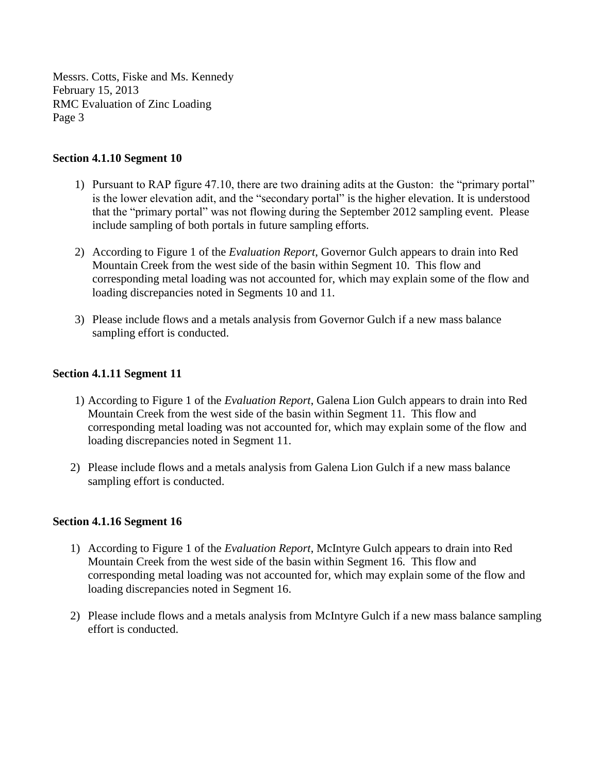## **Section 4.1.10 Segment 10**

- 1) Pursuant to RAP figure 47.10, there are two draining adits at the Guston: the "primary portal" is the lower elevation adit, and the "secondary portal" is the higher elevation. It is understood that the "primary portal" was not flowing during the September 2012 sampling event. Please include sampling of both portals in future sampling efforts.
- 2) According to Figure 1 of the *Evaluation Report*, Governor Gulch appears to drain into Red Mountain Creek from the west side of the basin within Segment 10. This flow and corresponding metal loading was not accounted for, which may explain some of the flow and loading discrepancies noted in Segments 10 and 11.
- 3) Please include flows and a metals analysis from Governor Gulch if a new mass balance sampling effort is conducted.

#### **Section 4.1.11 Segment 11**

- 1) According to Figure 1 of the *Evaluation Report*, Galena Lion Gulch appears to drain into Red Mountain Creek from the west side of the basin within Segment 11. This flow and corresponding metal loading was not accounted for, which may explain some of the flow and loading discrepancies noted in Segment 11.
- 2) Please include flows and a metals analysis from Galena Lion Gulch if a new mass balance sampling effort is conducted.

#### **Section 4.1.16 Segment 16**

- 1) According to Figure 1 of the *Evaluation Report*, McIntyre Gulch appears to drain into Red Mountain Creek from the west side of the basin within Segment 16. This flow and corresponding metal loading was not accounted for, which may explain some of the flow and loading discrepancies noted in Segment 16.
- 2) Please include flows and a metals analysis from McIntyre Gulch if a new mass balance sampling effort is conducted.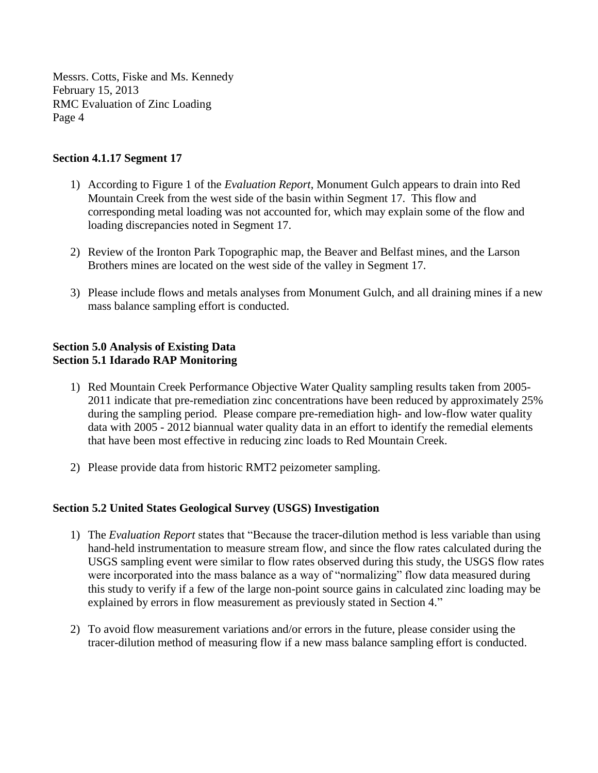## **Section 4.1.17 Segment 17**

- 1) According to Figure 1 of the *Evaluation Report*, Monument Gulch appears to drain into Red Mountain Creek from the west side of the basin within Segment 17. This flow and corresponding metal loading was not accounted for, which may explain some of the flow and loading discrepancies noted in Segment 17.
- 2) Review of the Ironton Park Topographic map, the Beaver and Belfast mines, and the Larson Brothers mines are located on the west side of the valley in Segment 17.
- 3) Please include flows and metals analyses from Monument Gulch, and all draining mines if a new mass balance sampling effort is conducted.

## **Section 5.0 Analysis of Existing Data Section 5.1 Idarado RAP Monitoring**

- 1) Red Mountain Creek Performance Objective Water Quality sampling results taken from 2005- 2011 indicate that pre-remediation zinc concentrations have been reduced by approximately 25% during the sampling period. Please compare pre-remediation high- and low-flow water quality data with 2005 - 2012 biannual water quality data in an effort to identify the remedial elements that have been most effective in reducing zinc loads to Red Mountain Creek.
- 2) Please provide data from historic RMT2 peizometer sampling.

## **Section 5.2 United States Geological Survey (USGS) Investigation**

- 1) The *Evaluation Report* states that "Because the tracer-dilution method is less variable than using hand-held instrumentation to measure stream flow, and since the flow rates calculated during the USGS sampling event were similar to flow rates observed during this study, the USGS flow rates were incorporated into the mass balance as a way of "normalizing" flow data measured during this study to verify if a few of the large non-point source gains in calculated zinc loading may be explained by errors in flow measurement as previously stated in Section 4."
- 2) To avoid flow measurement variations and/or errors in the future, please consider using the tracer-dilution method of measuring flow if a new mass balance sampling effort is conducted.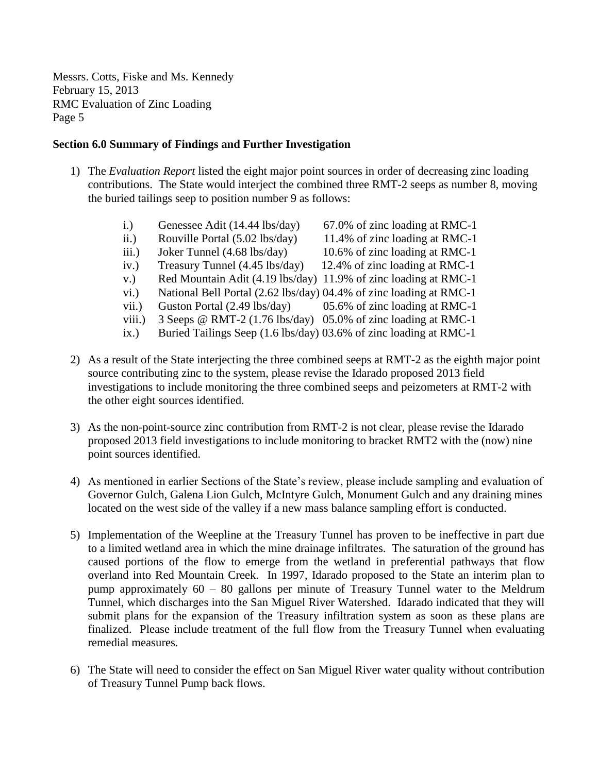## **Section 6.0 Summary of Findings and Further Investigation**

- 1) The *Evaluation Report* listed the eight major point sources in order of decreasing zinc loading contributions. The State would interject the combined three RMT-2 seeps as number 8, moving the buried tailings seep to position number 9 as follows:
	- i.) Genessee Adit (14.44 lbs/day) 67.0% of zinc loading at RMC-1
	- ii.) Rouville Portal  $(5.02 \text{ lbs/day})$  11.4% of zinc loading at RMC-1
	- iii.) Joker Tunnel (4.68 lbs/day) 10.6% of zinc loading at RMC-1
	- iv.) Treasury Tunnel (4.45 lbs/day) 12.4% of zinc loading at RMC-1
	- v.) Red Mountain Adit (4.19 lbs/day) 11.9% of zinc loading at RMC-1
	- vi.) National Bell Portal (2.62 lbs/day) 04.4% of zinc loading at RMC-1
	- vii.) Guston Portal (2.49 lbs/day) 05.6% of zinc loading at RMC-1
	- viii.) 3 Seeps @ RMT-2 (1.76 lbs/day) 05.0% of zinc loading at RMC-1
	- ix.) Buried Tailings Seep (1.6 lbs/day) 03.6% of zinc loading at RMC-1
- 2) As a result of the State interjecting the three combined seeps at RMT-2 as the eighth major point source contributing zinc to the system, please revise the Idarado proposed 2013 field investigations to include monitoring the three combined seeps and peizometers at RMT-2 with the other eight sources identified.
- 3) As the non-point-source zinc contribution from RMT-2 is not clear, please revise the Idarado proposed 2013 field investigations to include monitoring to bracket RMT2 with the (now) nine point sources identified.
- 4) As mentioned in earlier Sections of the State's review, please include sampling and evaluation of Governor Gulch, Galena Lion Gulch, McIntyre Gulch, Monument Gulch and any draining mines located on the west side of the valley if a new mass balance sampling effort is conducted.
- 5) Implementation of the Weepline at the Treasury Tunnel has proven to be ineffective in part due to a limited wetland area in which the mine drainage infiltrates. The saturation of the ground has caused portions of the flow to emerge from the wetland in preferential pathways that flow overland into Red Mountain Creek. In 1997, Idarado proposed to the State an interim plan to pump approximately 60 – 80 gallons per minute of Treasury Tunnel water to the Meldrum Tunnel, which discharges into the San Miguel River Watershed. Idarado indicated that they will submit plans for the expansion of the Treasury infiltration system as soon as these plans are finalized. Please include treatment of the full flow from the Treasury Tunnel when evaluating remedial measures.
- 6) The State will need to consider the effect on San Miguel River water quality without contribution of Treasury Tunnel Pump back flows.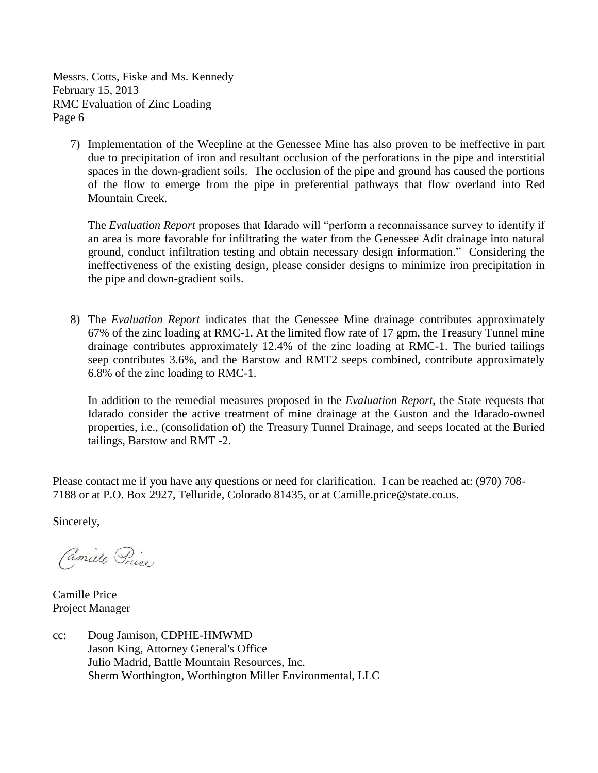7) Implementation of the Weepline at the Genessee Mine has also proven to be ineffective in part due to precipitation of iron and resultant occlusion of the perforations in the pipe and interstitial spaces in the down-gradient soils. The occlusion of the pipe and ground has caused the portions of the flow to emerge from the pipe in preferential pathways that flow overland into Red Mountain Creek.

The *Evaluation Report* proposes that Idarado will "perform a reconnaissance survey to identify if an area is more favorable for infiltrating the water from the Genessee Adit drainage into natural ground, conduct infiltration testing and obtain necessary design information." Considering the ineffectiveness of the existing design, please consider designs to minimize iron precipitation in the pipe and down-gradient soils.

8) The *Evaluation Report* indicates that the Genessee Mine drainage contributes approximately 67% of the zinc loading at RMC-1. At the limited flow rate of 17 gpm, the Treasury Tunnel mine drainage contributes approximately 12.4% of the zinc loading at RMC-1. The buried tailings seep contributes 3.6%, and the Barstow and RMT2 seeps combined, contribute approximately 6.8% of the zinc loading to RMC-1.

In addition to the remedial measures proposed in the *Evaluation Report*, the State requests that Idarado consider the active treatment of mine drainage at the Guston and the Idarado-owned properties, i.e., (consolidation of) the Treasury Tunnel Drainage, and seeps located at the Buried tailings, Barstow and RMT -2.

Please contact me if you have any questions or need for clarification. I can be reached at: (970) 708- 7188 or at P.O. Box 2927, Telluride, Colorado 81435, or at Camille.price@state.co.us.

Sincerely,

Camille Price

Camille Price Project Manager

cc: Doug Jamison, CDPHE-HMWMD Jason King, Attorney General's Office Julio Madrid, Battle Mountain Resources, Inc. Sherm Worthington, Worthington Miller Environmental, LLC